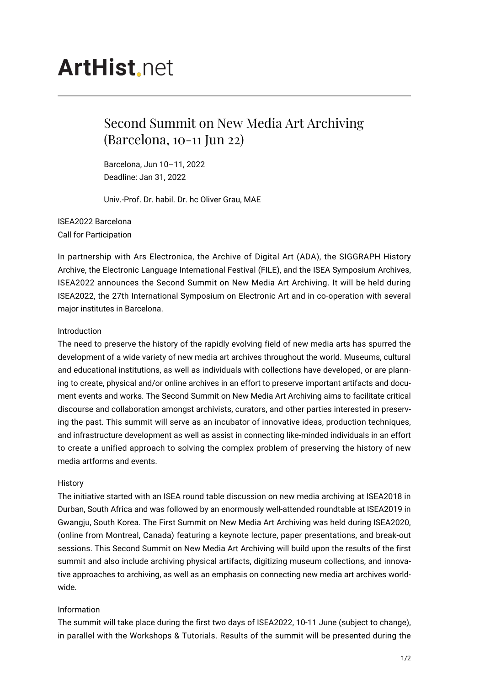# **ArtHist** net

## Second Summit on New Media Art Archiving (Barcelona, 10-11 Jun 22)

Barcelona, Jun 10–11, 2022 Deadline: Jan 31, 2022

Univ.-Prof. Dr. habil. Dr. hc Oliver Grau, MAE

ISEA2022 Barcelona Call for Participation

In partnership with Ars Electronica, the Archive of Digital Art (ADA), the SIGGRAPH History Archive, the Electronic Language International Festival (FILE), and the ISEA Symposium Archives, ISEA2022 announces the Second Summit on New Media Art Archiving. It will be held during ISEA2022, the 27th International Symposium on Electronic Art and in co-operation with several major institutes in Barcelona.

#### Introduction

The need to preserve the history of the rapidly evolving field of new media arts has spurred the development of a wide variety of new media art archives throughout the world. Museums, cultural and educational institutions, as well as individuals with collections have developed, or are planning to create, physical and/or online archives in an effort to preserve important artifacts and document events and works. The Second Summit on New Media Art Archiving aims to facilitate critical discourse and collaboration amongst archivists, curators, and other parties interested in preserving the past. This summit will serve as an incubator of innovative ideas, production techniques, and infrastructure development as well as assist in connecting like-minded individuals in an effort to create a unified approach to solving the complex problem of preserving the history of new media artforms and events.

#### **History**

The initiative started with an ISEA round table discussion on new media archiving at ISEA2018 in Durban, South Africa and was followed by an enormously well-attended roundtable at ISEA2019 in Gwangju, South Korea. The First Summit on New Media Art Archiving was held during ISEA2020, (online from Montreal, Canada) featuring a keynote lecture, paper presentations, and break-out sessions. This Second Summit on New Media Art Archiving will build upon the results of the first summit and also include archiving physical artifacts, digitizing museum collections, and innovative approaches to archiving, as well as an emphasis on connecting new media art archives worldwide.

### Information

The summit will take place during the first two days of ISEA2022, 10-11 June (subject to change), in parallel with the Workshops & Tutorials. Results of the summit will be presented during the